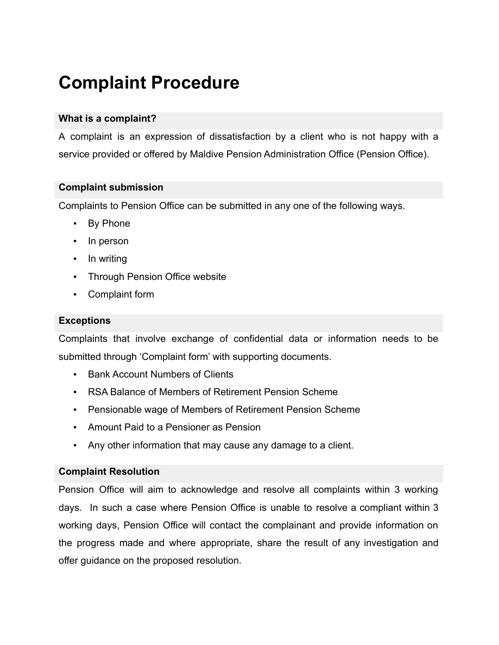# **Complaint Procedure**

### **What is a complaint?**

A complaint is an expression of dissatisfaction by a client who is not happy with a service provided or offered by Maldive Pension Administration Office (Pension Office).

#### **Complaint submission**

Complaints to Pension Office can be submitted in any one of the following ways.

- By Phone
- In person
- In writing
- **Through Pension Office website**
- Complaint form

#### **Exceptions**

Complaints that involve exchange of confidential data or information needs to be submitted through 'Complaint form' with supporting documents.

- Bank Account Numbers of Clients
- RSA Balance of Members of Retirement Pension Scheme
- Pensionable wage of Members of Retirement Pension Scheme
- **Amount Paid to a Pensioner as Pension**
- Any other information that may cause any damage to a client.

#### **Complaint Resolution**

Pension Office will aim to acknowledge and resolve all complaints within 3 working days. In such a case where Pension Office is unable to resolve a compliant within 3 working days, Pension Office will contact the complainant and provide information on the progress made and where appropriate, share the result of any investigation and offer guidance on the proposed resolution.